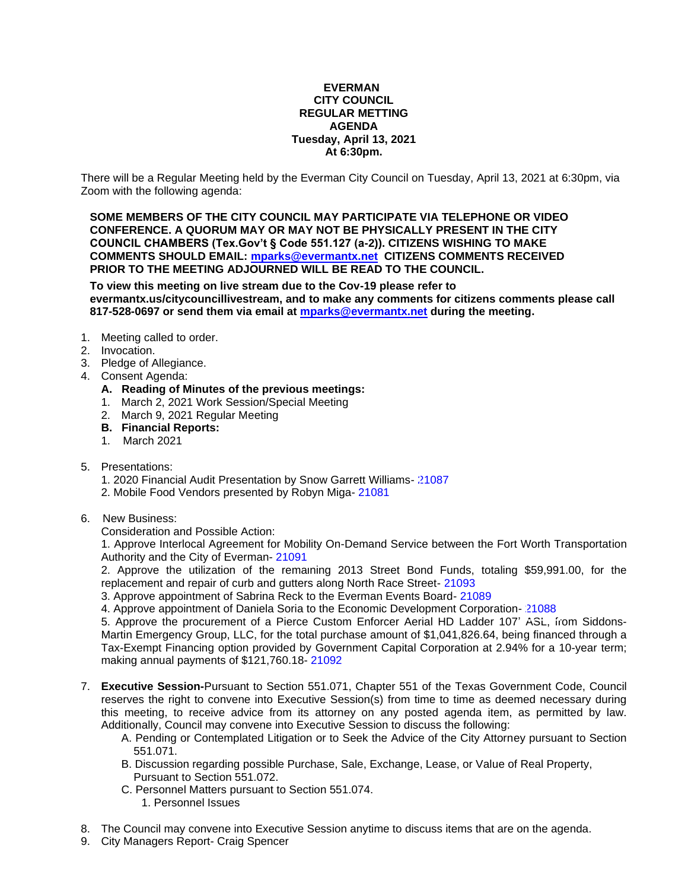#### **EVERMAN CITY COUNCIL REGULAR METTING AGENDA Tuesday, April 13, 2021 At 6:30pm.**

There will be a Regular Meeting held by the Everman City Council on Tuesday, April 13, 2021 at 6:30pm, via Zoom with the following agenda:

**SOME MEMBERS OF THE CITY COUNCIL MAY PARTICIPATE VIA TELEPHONE OR VIDEO CONFERENCE. A QUORUM MAY OR MAY NOT BE PHYSICALLY PRESENT IN THE CITY COUNCIL CHAMBERS (Tex.Gov't § Code 551.127 (a-2)). CITIZENS WISHING TO MAKE COMMENTS SHOULD EMAIL: [mparks@evermantx.net](mailto:mparks@evermantx.net) CITIZENS COMMENTS RECEIVED PRIOR TO THE MEETING ADJOURNED WILL BE READ TO THE COUNCIL.**

**To view this meeting on live stream due to the Cov-19 please refer to evermantx.us/citycouncillivestream, and to make any comments for citizens comments please call 817-528-0697 or send them via email at [mparks@evermantx.net](mailto:mparks@evermantx.net) during the meeting.**

- 1. Meeting called to order.
- 2. Invocation.
- 3. Pledge of Allegiance.
- 4. Consent Agenda:
	- **A. Reading of Minutes of the previous meetings:**
	- 1. March 2, 2021 Work Session/Special Meeting
	- 2. March 9, 2021 Regular Meeting
	- **B. Financial Reports:**
	- 1. March 2021
- 5. Presentations:
	- 1. 2020 Financial Audit Presentation by Snow Garrett Williams- [21087](#page-8-0)
	- 2. Mobile Food Vendors presented by Robyn Miga- [21081](#page-9-0)
- 6. New Business:

Consideration and Possible Action:

1. Approve Interlocal Agreement for Mobility On-Demand Service between the Fort Worth Transportation Authority and the City of Everman- [21091](#page-11-0)

2. Approve the utilization of the remaining 2013 Street Bond Funds, totaling \$59,991.00, for the replacement and repair of curb and gutters along North Race Street- [21093](#page-12-0)

3. Approve appointment of Sabrina Reck to the Everman Events Board- [21089](#page-14-0)

4. Approve appointment of Daniela Soria to the Economic Development Corporation- [21088](#page-13-0)

5. Approve the procurement of a Pierce Custom Enforcer Aerial HD Ladder 107' ASL, from Siddons-Martin Emergency Group, LLC, for the total purchase amount of \$1,041,826.64, being financed through a Tax-Exempt Financing option provided by Government Capital Corporation at 2.94% for a 10-year term; making annual payments of \$121,760.18- [21092](#page-15-0)

- 7. **Executive Session-**Pursuant to Section 551.071, Chapter 551 of the Texas Government Code, Council reserves the right to convene into Executive Session(s) from time to time as deemed necessary during this meeting, to receive advice from its attorney on any posted agenda item, as permitted by law. Additionally, Council may convene into Executive Session to discuss the following:
	- A. Pending or Contemplated Litigation or to Seek the Advice of the City Attorney pursuant to Section 551.071.
	- B. Discussion regarding possible Purchase, Sale, Exchange, Lease, or Value of Real Property, Pursuant to Section 551.072.
	- C. Personnel Matters pursuant to Section 551.074.
		- 1. Personnel Issues
- 8. The Council may convene into Executive Session anytime to discuss items that are on the agenda.
- 9. City Managers Report- Craig Spencer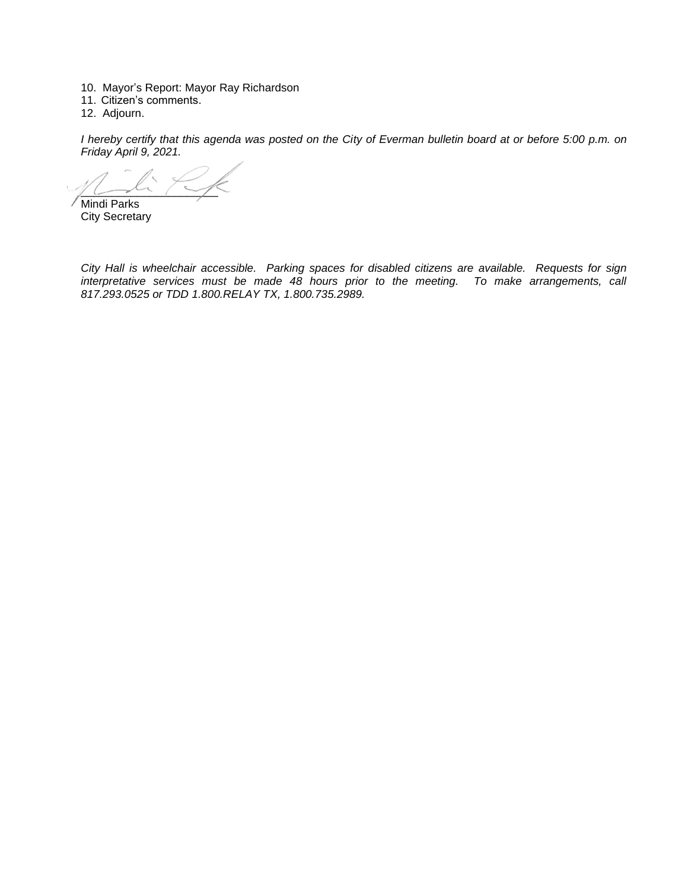- 10. Mayor's Report: Mayor Ray Richardson
- 11. Citizen's comments.
- 12. Adjourn.

*I hereby certify that this agenda was posted on the City of Everman bulletin board at or before 5:00 p.m. on Friday April 9, 2021.*

 $\sim$ 

Mindi Parks City Secretary

*City Hall is wheelchair accessible. Parking spaces for disabled citizens are available. Requests for sign interpretative services must be made 48 hours prior to the meeting. To make arrangements, call 817.293.0525 or TDD 1.800.RELAY TX, 1.800.735.2989.*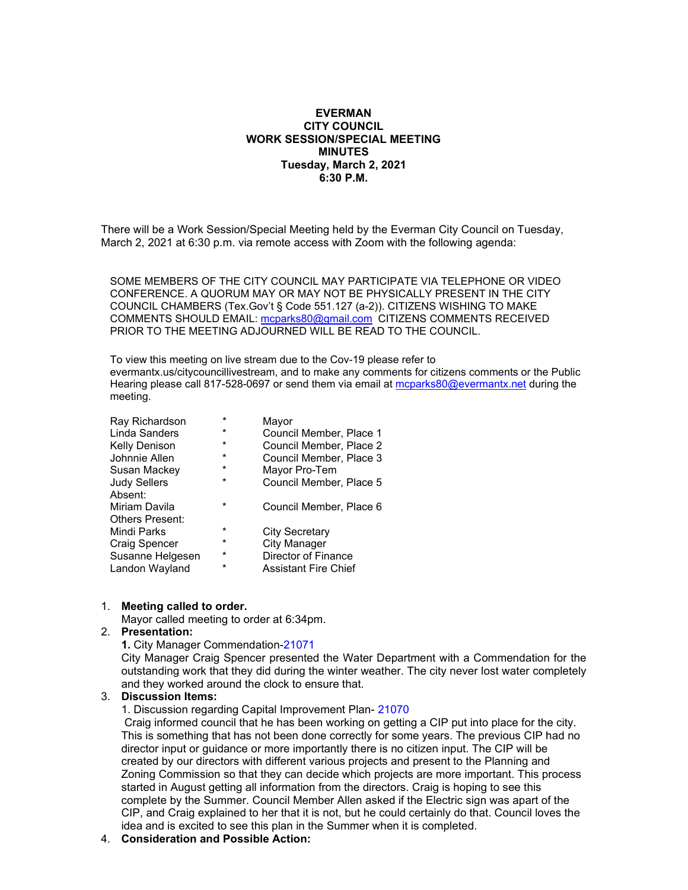### **EVERMAN CITY COUNCIL WORK SESSION/SPECIAL MEETING MINUTES Tuesday, March 2, 2021 6:30 P.M.**

There will be a Work Session/Special Meeting held by the Everman City Council on Tuesday, March 2, 2021 at 6:30 p.m. via remote access with Zoom with the following agenda:

SOME MEMBERS OF THE CITY COUNCIL MAY PARTICIPATE VIA TELEPHONE OR VIDEO CONFERENCE. A QUORUM MAY OR MAY NOT BE PHYSICALLY PRESENT IN THE CITY COUNCIL CHAMBERS (Tex.Gov't § Code 551.127 (a-2)). CITIZENS WISHING TO MAKE COMMENTS SHOULD EMAIL: [mcparks80@gmail.com](mailto:mcparks80@gmail.com) CITIZENS COMMENTS RECEIVED PRIOR TO THE MEETING ADJOURNED WILL BE READ TO THE COUNCIL.

To view this meeting on live stream due to the Cov-19 please refer to evermantx.us/citycouncillivestream, and to make any comments for citizens comments or the Public Hearing please call 817-528-0697 or send them via email at [mcparks80@evermantx.net](mailto:mcparks80@evermantx.net) during the meeting.

| Ray Richardson         | $\star$ | Mayor                   |
|------------------------|---------|-------------------------|
| Linda Sanders          | $\star$ | Council Member, Place 1 |
| <b>Kelly Denison</b>   | $\star$ | Council Member, Place 2 |
| Johnnie Allen          | $\star$ | Council Member, Place 3 |
| Susan Mackey           | $\star$ | Mayor Pro-Tem           |
| <b>Judy Sellers</b>    | $\star$ | Council Member, Place 5 |
| Absent:                |         |                         |
| Miriam Davila          | $\star$ | Council Member, Place 6 |
| <b>Others Present:</b> |         |                         |
| Mindi Parks            | $\star$ | <b>City Secretary</b>   |
| Craig Spencer          | $\star$ | City Manager            |
| Susanne Helgesen       | $\star$ | Director of Finance     |
| Landon Wayland         | $\star$ | Assistant Fire Chief    |

#### 1. **Meeting called to order.**

Mayor called meeting to order at 6:34pm.

#### 2. **Presentation:**

**1.** City Manager Commendation-21071

City Manager Craig Spencer presented the Water Department with a Commendation for the outstanding work that they did during the winter weather. The city never lost water completely and they worked around the clock to ensure that.

#### 3. **Discussion Items:**

1. Discussion regarding Capital Improvement Plan- 21070

Craig informed council that he has been working on getting a CIP put into place for the city. This is something that has not been done correctly for some years. The previous CIP had no director input or guidance or more importantly there is no citizen input. The CIP will be created by our directors with different various projects and present to the Planning and Zoning Commission so that they can decide which projects are more important. This process started in August getting all information from the directors. Craig is hoping to see this complete by the Summer. Council Member Allen asked if the Electric sign was apart of the CIP, and Craig explained to her that it is not, but he could certainly do that. Council loves the idea and is excited to see this plan in the Summer when it is completed.

#### 4. **Consideration and Possible Action:**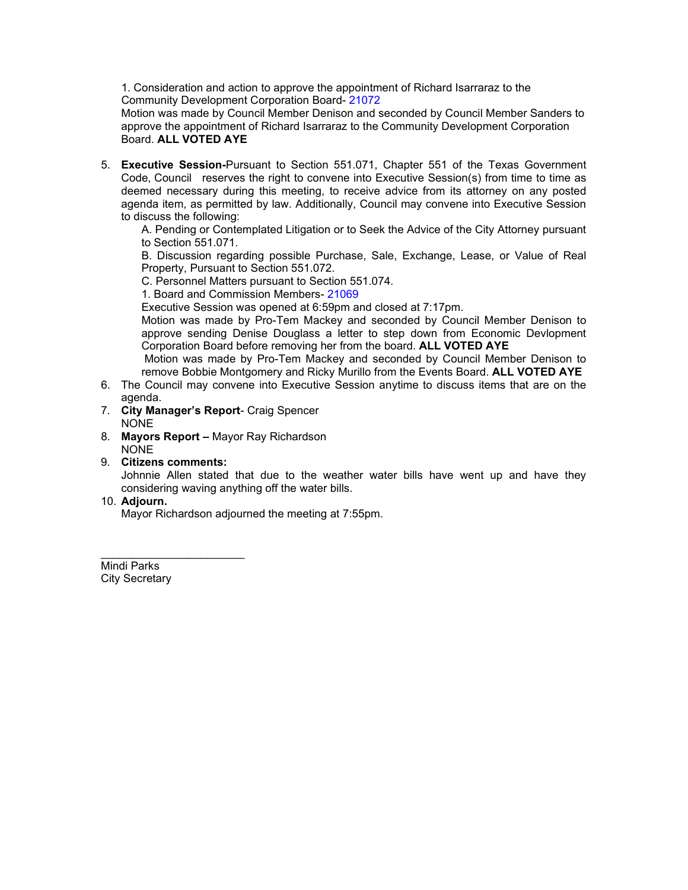1. Consideration and action to approve the appointment of Richard Isarraraz to the Community Development Corporation Board- 21072

Motion was made by Council Member Denison and seconded by Council Member Sanders to approve the appointment of Richard Isarraraz to the Community Development Corporation Board. **ALL VOTED AYE**

5. **Executive Session-**Pursuant to Section 551.071, Chapter 551 of the Texas Government Code, Council reserves the right to convene into Executive Session(s) from time to time as deemed necessary during this meeting, to receive advice from its attorney on any posted agenda item, as permitted by law. Additionally, Council may convene into Executive Session to discuss the following:

A. Pending or Contemplated Litigation or to Seek the Advice of the City Attorney pursuant to Section 551.071.

B. Discussion regarding possible Purchase, Sale, Exchange, Lease, or Value of Real Property, Pursuant to Section 551.072.

C. Personnel Matters pursuant to Section 551.074.

1. Board and Commission Members- 21069

Executive Session was opened at 6:59pm and closed at 7:17pm.

Motion was made by Pro-Tem Mackey and seconded by Council Member Denison to approve sending Denise Douglass a letter to step down from Economic Devlopment Corporation Board before removing her from the board. **ALL VOTED AYE** 

Motion was made by Pro-Tem Mackey and seconded by Council Member Denison to remove Bobbie Montgomery and Ricky Murillo from the Events Board. **ALL VOTED AYE**

- 6. The Council may convene into Executive Session anytime to discuss items that are on the agenda.
- 7. **City Manager's Report** Craig Spencer NONE
- 8. **Mayors Report –** Mayor Ray Richardson NONE
- 9. **Citizens comments:**

\_\_\_\_\_\_\_\_\_\_\_\_\_\_\_\_\_\_\_\_\_\_\_

Johnnie Allen stated that due to the weather water bills have went up and have they considering waving anything off the water bills.

### 10. **Adjourn.**

Mayor Richardson adjourned the meeting at 7:55pm.

Mindi Parks City Secretary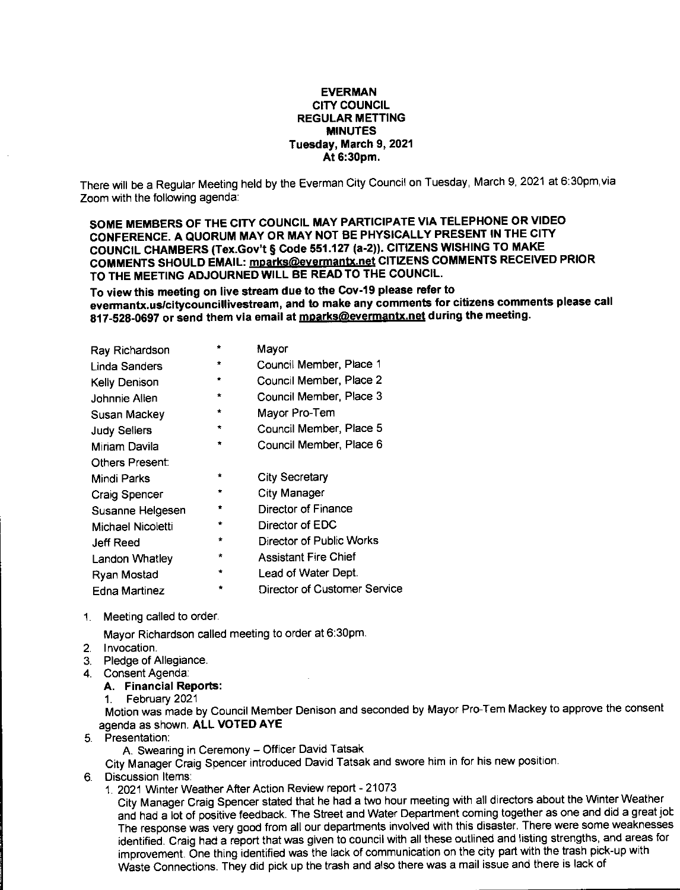#### **EVERMAN CITY COUNCIL REGULAR METTING MINUTES** Tuesday, March 9, 2021 At 6:30pm.

There will be a Regular Meeting held by the Everman City Council on Tuesday, March 9, 2021 at 6:30pm, via Zoom with the following agenda:

SOME MEMBERS OF THE CITY COUNCIL MAY PARTICIPATE VIA TELEPHONE OR VIDEO CONFERENCE. A QUORUM MAY OR MAY NOT BE PHYSICALLY PRESENT IN THE CITY COUNCIL CHAMBERS (Tex.Gov't § Code 551.127 (a-2)). CITIZENS WISHING TO MAKE COMMENTS SHOULD EMAIL: mparks@evermantx.net CITIZENS COMMENTS RECEIVED PRIOR TO THE MEETING ADJOURNED WILL BE READ TO THE COUNCIL.

To view this meeting on live stream due to the Cov-19 please refer to evermantx.us/citycouncillivestream, and to make any comments for citizens comments please call 817-528-0697 or send them via email at mparks@evermantx.net during the meeting.

| Ray Richardson       | $\bullet$ | Mayor                           |
|----------------------|-----------|---------------------------------|
| Linda Sanders        | $\star$   | Council Member, Place 1         |
| Kelly Denison        | ÷         | Council Member, Place 2         |
| Johnnie Allen        | ÷         | Council Member, Place 3         |
| Susan Mackev         | ÷         | Mayor Pro-Tem                   |
| <b>Judy Sellers</b>  | $\star$   | Council Member, Place 5         |
| Miriam Davila        | $\star$   | Council Member, Place 6         |
| Others Present:      |           |                                 |
| Mindi Parks          | ÷         | <b>City Secretary</b>           |
| <b>Craig Spencer</b> | $\bullet$ | <b>City Manager</b>             |
| Susanne Helgesen     | ÷         | Director of Finance             |
| Michael Nicoletti    | $\star$   | Director of EDC                 |
| Jeff Reed            | ÷         | <b>Director of Public Works</b> |
| Landon Whatley       | $\star$   | <b>Assistant Fire Chief</b>     |
| Ryan Mostad          | ٠         | Lead of Water Dept.             |
| <b>Edna Martinez</b> |           | Director of Customer Service    |
|                      |           |                                 |

1. Meeting called to order.

Mayor Richardson called meeting to order at 6:30pm.

- 2. Invocation.
- 3. Pledge of Allegiance.
- 4 Consent Agenda:
	- A. Financial Reports:

1. February 2021 Motion was made by Council Member Denison and seconded by Mayor Pro-Tem Mackey to approve the consent agenda as shown. ALL VOTED AYE

5. Presentation:

A. Swearing in Ceremony - Officer David Tatsak

City Manager Craig Spencer introduced David Tatsak and swore him in for his new position.

- 6. Discussion Items:
	- 1. 2021 Winter Weather After Action Review report 21073

City Manager Craig Spencer stated that he had a two hour meeting with all directors about the Winter Weather and had a lot of positive feedback. The Street and Water Department coming together as one and did a great job The response was very good from all our departments involved with this disaster. There were some weaknesses identified. Craig had a report that was given to council with all these outlined and listing strengths, and areas for improvement. One thing identified was the lack of communication on the city part with the trash pick-up with Waste Connections. They did pick up the trash and also there was a mail issue and there is lack of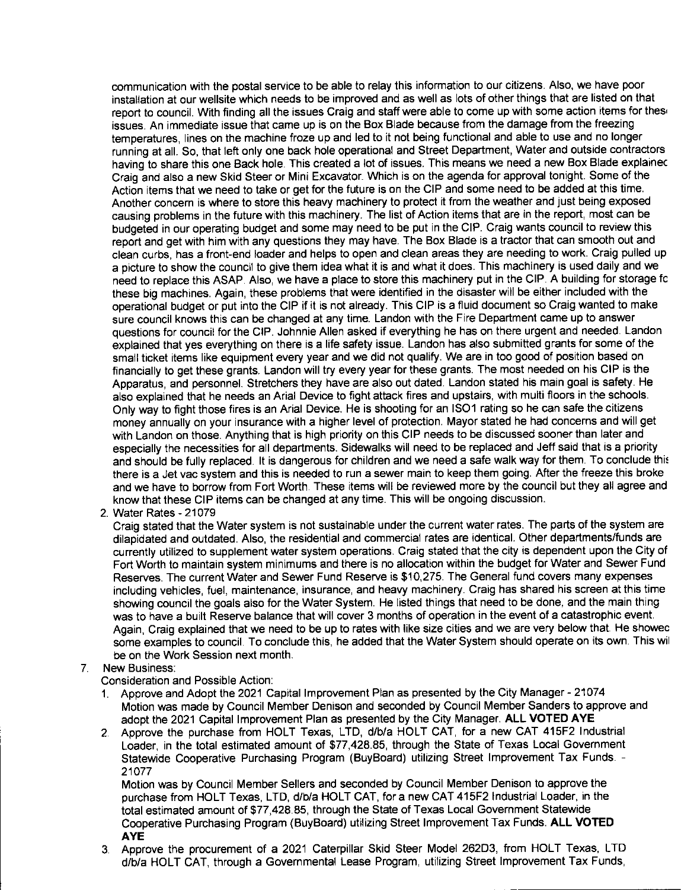communication with the postal service to be able to relay this information to our citizens. Also, we have poor installation at our wellsite which needs to be improved and as well as lots of other things that are listed on that report to council. With finding all the issues Craig and staff were able to come up with some action items for thes issues. An immediate issue that came up is on the Box Blade because from the damage from the freezing temperatures, lines on the machine froze up and led to it not being functional and able to use and no longer running at all. So, that left only one back hole operational and Street Department, Water and outside contractors having to share this one Back hole. This created a lot of issues. This means we need a new Box Blade explained Craig and also a new Skid Steer or Mini Excavator. Which is on the agenda for approval tonight. Some of the Action items that we need to take or get for the future is on the CIP and some need to be added at this time. Another concern is where to store this heavy machinery to protect it from the weather and just being exposed causing problems in the future with this machinery. The list of Action items that are in the report, most can be budgeted in our operating budget and some may need to be put in the CIP. Craig wants council to review this report and get with him with any questions they may have. The Box Blade is a tractor that can smooth out and clean curbs, has a front-end loader and helps to open and clean areas they are needing to work. Craig pulled up a picture to show the council to give them idea what it is and what it does. This machinery is used daily and we need to replace this ASAP. Also, we have a place to store this machinery put in the CIP. A building for storage fo these big machines. Again, these problems that were identified in the disaster will be either included with the operational budget or put into the CIP if it is not already. This CIP is a fluid document so Craig wanted to make sure council knows this can be changed at any time. Landon with the Fire Department came up to answer questions for council for the CIP. Johnnie Allen asked if everything he has on there urgent and needed. Landon explained that yes everything on there is a life safety issue. Landon has also submitted grants for some of the small ticket items like equipment every year and we did not qualify. We are in too good of position based on financially to get these grants. Landon will try every year for these grants. The most needed on his CIP is the Apparatus, and personnel. Stretchers they have are also out dated. Landon stated his main goal is safety. He also explained that he needs an Arial Device to fight attack fires and upstairs, with multi floors in the schools. Only way to fight those fires is an Arial Device. He is shooting for an ISO1 rating so he can safe the citizens money annually on your insurance with a higher level of protection. Mayor stated he had concerns and will get with Landon on those. Anything that is high priority on this CIP needs to be discussed sooner than later and especially the necessities for all departments. Sidewalks will need to be replaced and Jeff said that is a priority and should be fully replaced. It is dangerous for children and we need a safe walk way for them. To conclude this there is a Jet vac system and this is needed to run a sewer main to keep them going. After the freeze this broke and we have to borrow from Fort Worth. These items will be reviewed more by the council but they all agree and know that these CIP items can be changed at any time. This will be ongoing discussion.

2. Water Rates - 21079

Craig stated that the Water system is not sustainable under the current water rates. The parts of the system are dilapidated and outdated. Also, the residential and commercial rates are identical. Other departments/funds are currently utilized to supplement water system operations. Craig stated that the city is dependent upon the City of Fort Worth to maintain system minimums and there is no allocation within the budget for Water and Sewer Fund Reserves. The current Water and Sewer Fund Reserve is \$10,275. The General fund covers many expenses including vehicles, fuel, maintenance, insurance, and heavy machinery. Craig has shared his screen at this time showing council the goals also for the Water System. He listed things that need to be done, and the main thing was to have a built Reserve balance that will cover 3 months of operation in the event of a catastrophic event. Again. Craig explained that we need to be up to rates with like size cities and we are very below that. He showed some examples to council. To conclude this, he added that the Water System should operate on its own. This will be on the Work Session next month.

### 7 New Business:

Consideration and Possible Action:

- 1. Approve and Adopt the 2021 Capital Improvement Plan as presented by the City Manager 21074 Motion was made by Council Member Denison and seconded by Council Member Sanders to approve and adopt the 2021 Capital Improvement Plan as presented by the City Manager. ALL VOTED AYE
- 2. Approve the purchase from HOLT Texas, LTD, d/b/a HOLT CAT, for a new CAT 415F2 Industrial Loader, in the total estimated amount of \$77,428.85, through the State of Texas Local Government Statewide Cooperative Purchasing Program (BuyBoard) utilizing Street Improvement Tax Funds. -21077

Motion was by Council Member Sellers and seconded by Council Member Denison to approve the purchase from HOLT Texas, LTD, d/b/a HOLT CAT, for a new CAT 415F2 Industrial Loader, in the total estimated amount of \$77,428.85, through the State of Texas Local Government Statewide Cooperative Purchasing Program (BuyBoard) utilizing Street Improvement Tax Funds. ALL VOTED **AYE** 

3. Approve the procurement of a 2021 Caterpillar Skid Steer Model 262D3, from HOLT Texas, LTD d/b/a HOLT CAT, through a Governmental Lease Program, utilizing Street Improvement Tax Funds,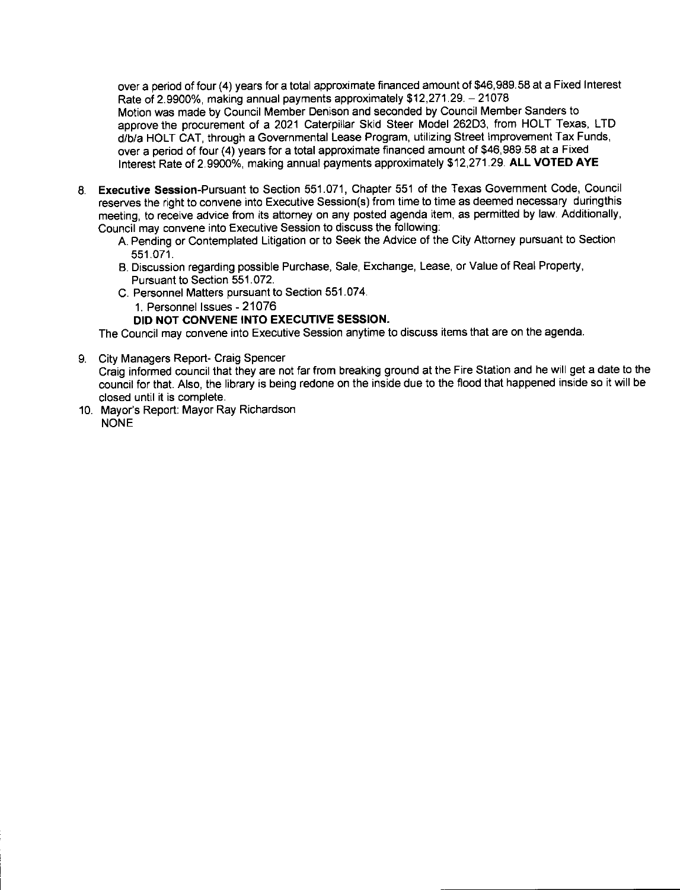over a period of four (4) years for a total approximate financed amount of \$46,989.58 at a Fixed Interest Rate of 2.9900%, making annual payments approximately \$12,271.29. - 21078 Motion was made by Council Member Denison and seconded by Council Member Sanders to approve the procurement of a 2021 Caterpillar Skid Steer Model 262D3, from HOLT Texas, LTD d/b/a HOLT CAT, through a Governmental Lease Program, utilizing Street Improvement Tax Funds. over a period of four (4) years for a total approximate financed amount of \$46,989.58 at a Fixed Interest Rate of 2.9900%, making annual payments approximately \$12,271.29. ALL VOTED AYE

- 8. Executive Session-Pursuant to Section 551.071, Chapter 551 of the Texas Government Code, Council reserves the right to convene into Executive Session(s) from time to time as deemed necessary during this meeting, to receive advice from its attorney on any posted agenda item, as permitted by law. Additionally, Council may convene into Executive Session to discuss the following:
	- A. Pending or Contemplated Litigation or to Seek the Advice of the City Attorney pursuant to Section 551.071.
	- B. Discussion regarding possible Purchase, Sale, Exchange, Lease, or Value of Real Property, Pursuant to Section 551.072.
	- C. Personnel Matters pursuant to Section 551.074.
		- 1. Personnel Issues 21076
		- DID NOT CONVENE INTO EXECUTIVE SESSION.

The Council may convene into Executive Session anytime to discuss items that are on the agenda.

9. City Managers Report- Craig Spencer

Craig informed council that they are not far from breaking ground at the Fire Station and he will get a date to the council for that. Also, the library is being redone on the inside due to the flood that happened inside so it will be closed until it is complete.

10. Mayor's Report: Mayor Ray Richardson **NONE**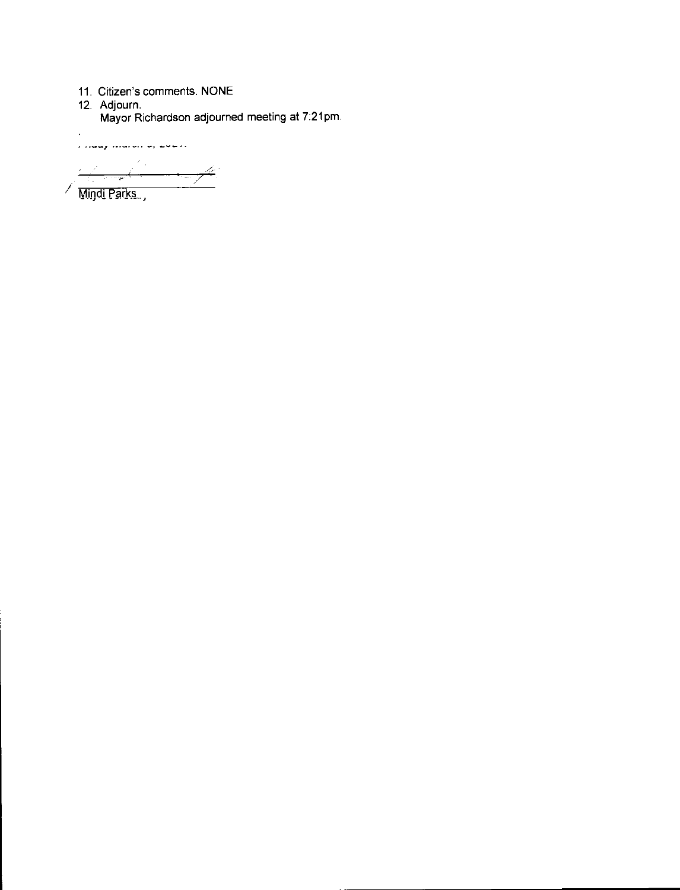- 
- 

 $\ddot{\phantom{0}}$ 

11. Citizen's comments. NONE<br>12. Adjourn.<br>Mayor Richardson adjourned meeting at 7:21pm.

r maaj marvir al Laurir  $\frac{1}{\sqrt{2\pi}}\frac{1}{\sqrt{2\pi}}\frac{1}{\sqrt{2\pi}}\left(\frac{1}{\sqrt{2\pi}}\right)^{2}$  $\longrightarrow \nrightarrow$ 

/ Mindi Parks.,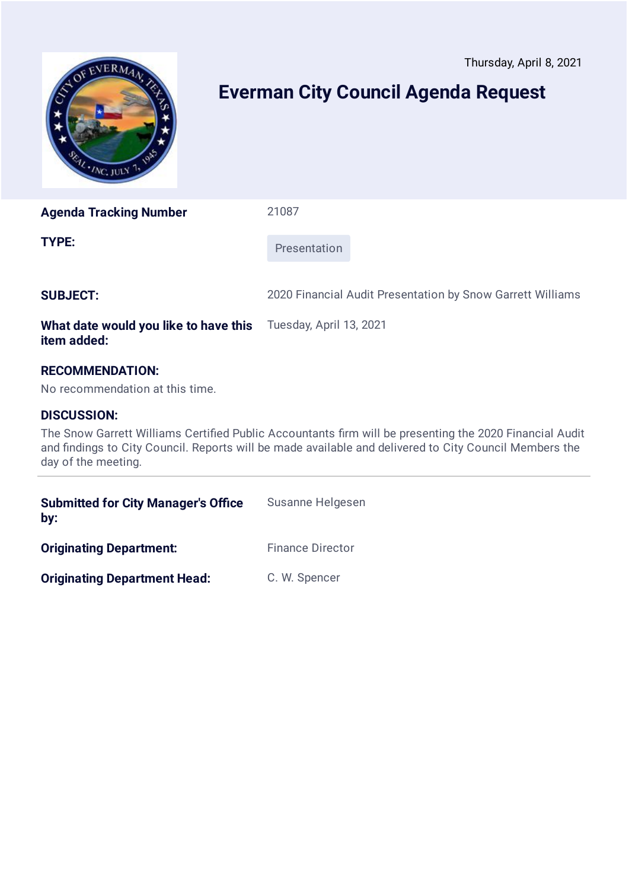<span id="page-8-0"></span>

# **Everman City Council Agenda Request**

**Agenda Tracking Number** 21087

**TYPE:** Presentation

**SUBJECT:** 2020 Financial Audit Presentation by Snow Garrett Williams

#### **What date would you like to have this item added:** Tuesday, April 13, 2021

## **RECOMMENDATION:**

No recommendation at this time.

### **DISCUSSION:**

The Snow Garrett Williams Certified Public Accountants firm will be presenting the 2020 Financial Audit and findings to City Council. Reports will be made available and delivered to City Council Members the day of the meeting.

| <b>Submitted for City Manager's Office</b><br>by: | Susanne Helgesen        |
|---------------------------------------------------|-------------------------|
| <b>Originating Department:</b>                    | <b>Finance Director</b> |
| <b>Originating Department Head:</b>               | C. W. Spencer           |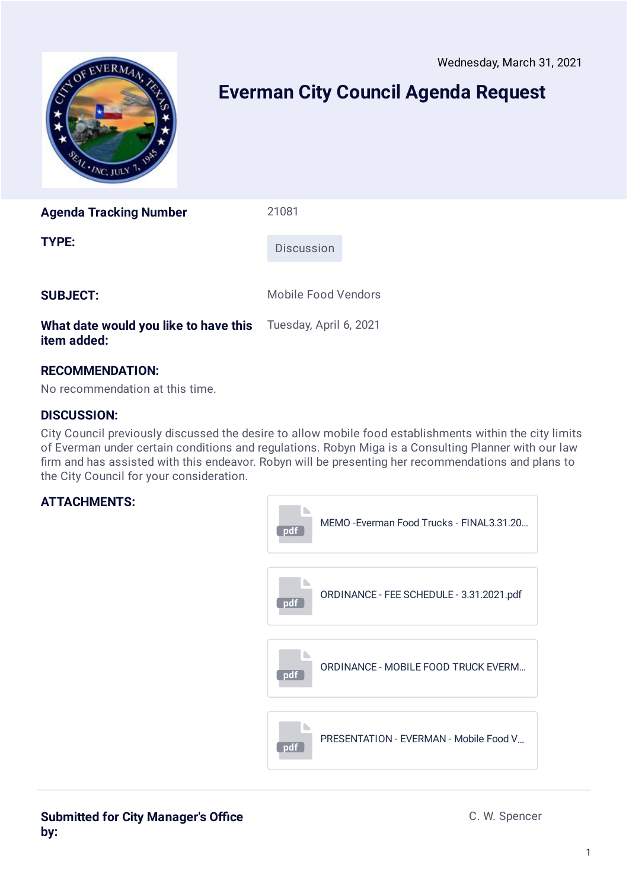Wednesday, March 31, 2021

<span id="page-9-0"></span>

# **Everman City Council Agenda Request**

**Agenda Tracking Number** 21081

**TYPE:** Discussion

**SUBJECT:** Mobile Food Vendors

#### **What date would you like to have this item added:** Tuesday, April 6, 2021

## **RECOMMENDATION:**

No recommendation at this time.

### **DISCUSSION:**

City Council previously discussed the desire to allow mobile food establishments within the city limits of Everman under certain conditions and regulations. Robyn Miga is a Consulting Planner with our law firm and has assisted with this endeavor. Robyn will be presenting her recommendations and plans to the City Council for your consideration.

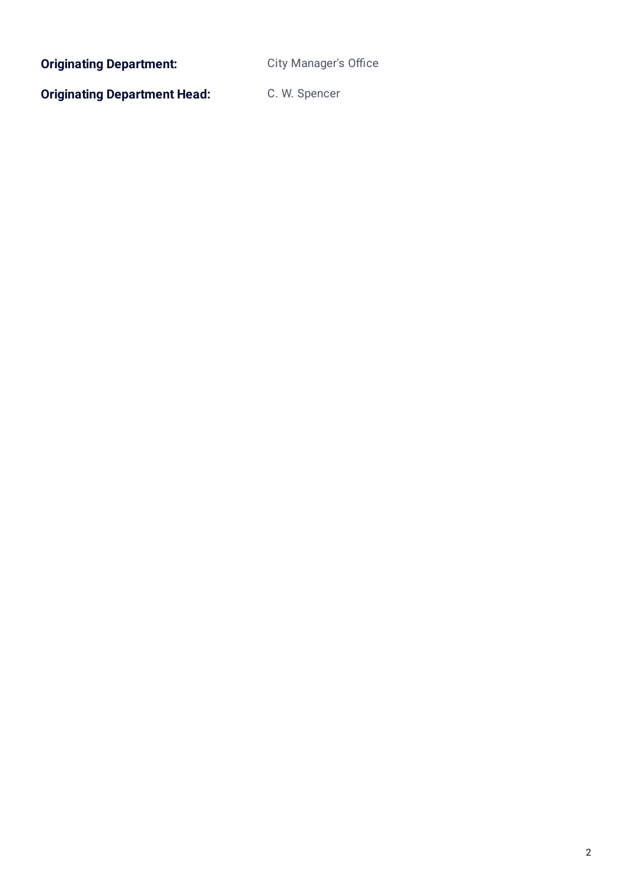**Originating Department:** City Manager's Office

**Originating Department Head:** C. W. Spencer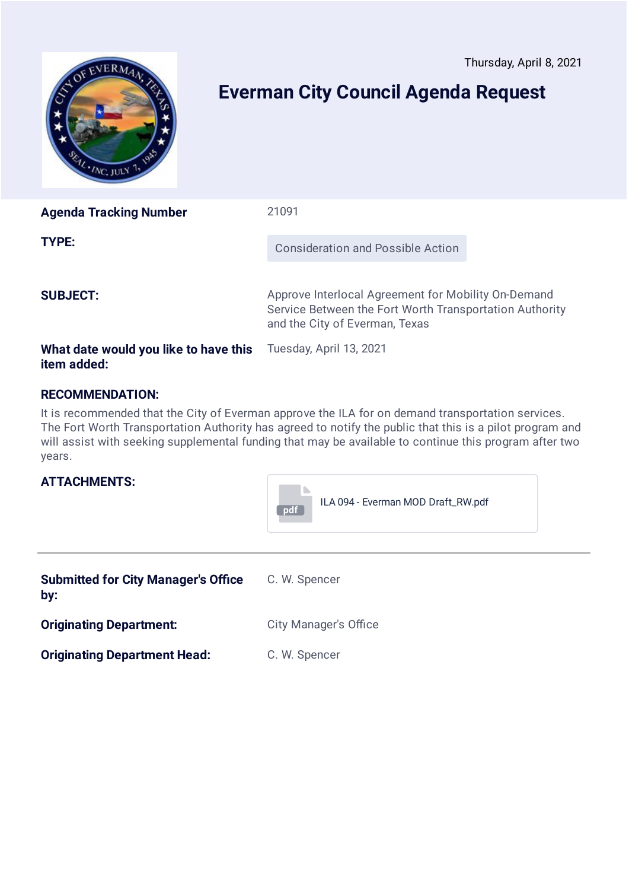<span id="page-11-0"></span>

# **Everman City Council Agenda Request**

| <b>Agenda Tracking Number</b>                        | 21091                                                                                                                                            |  |
|------------------------------------------------------|--------------------------------------------------------------------------------------------------------------------------------------------------|--|
| TYPE:                                                | Consideration and Possible Action                                                                                                                |  |
| <b>SUBJECT:</b>                                      | Approve Interlocal Agreement for Mobility On-Demand<br>Service Between the Fort Worth Transportation Authority<br>and the City of Everman, Texas |  |
| What date would you like to have this<br>item added: | Tuesday, April 13, 2021                                                                                                                          |  |

### **RECOMMENDATION:**

It is recommended that the City of Everman approve the ILA for on demand transportation services. The Fort Worth Transportation Authority has agreed to notify the public that this is a pilot program and will assist with seeking supplemental funding that may be available to continue this program after two years.



**Originating Department Head:** C. W. Spencer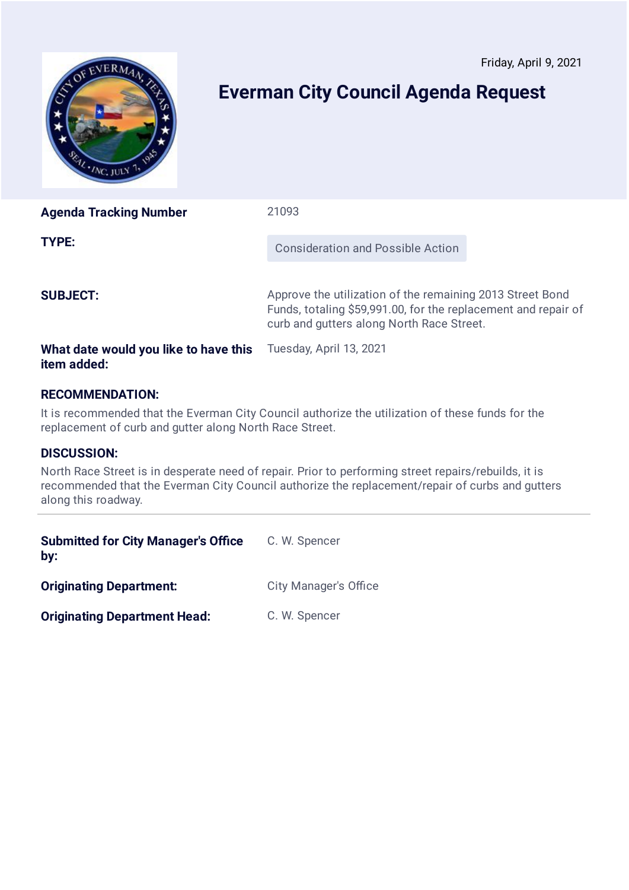<span id="page-12-0"></span>

# **Everman City Council Agenda Request**

| <b>Agenda Tracking Number</b>         | 21093                                                                                                                                                                    |
|---------------------------------------|--------------------------------------------------------------------------------------------------------------------------------------------------------------------------|
| TYPE:                                 | Consideration and Possible Action                                                                                                                                        |
| <b>SUBJECT:</b>                       | Approve the utilization of the remaining 2013 Street Bond<br>Funds, totaling \$59,991.00, for the replacement and repair of<br>curb and gutters along North Race Street. |
| What date would you like to have this | Tuesday, April 13, 2021                                                                                                                                                  |

# **RECOMMENDATION:**

It is recommended that the Everman City Council authorize the utilization of these funds for the replacement of curb and gutter along North Race Street.

### **DISCUSSION:**

**item added:**

North Race Street is in desperate need of repair. Prior to performing street repairs/rebuilds, it is recommended that the Everman City Council authorize the replacement/repair of curbs and gutters along this roadway.

| <b>Submitted for City Manager's Office</b><br>by: | C. W. Spencer                |
|---------------------------------------------------|------------------------------|
| <b>Originating Department:</b>                    | <b>City Manager's Office</b> |
| <b>Originating Department Head:</b>               | C. W. Spencer                |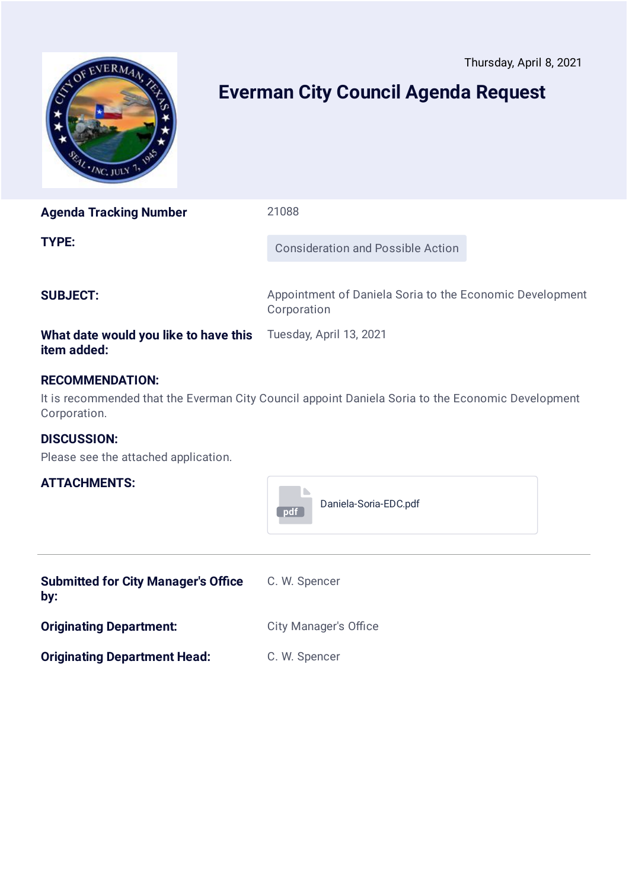<span id="page-13-0"></span>

# **Everman City Council Agenda Request**

**Agenda Tracking Number** 21088

**TYPE:** Consideration and Possible Action

**SUBJECT:** Appointment of Daniela Soria to the Economic Development **Corporation** 

### **What date would you like to have this item added:**

### **RECOMMENDATION:**

It is recommended that the Everman City Council appoint Daniela Soria to the Economic Development Corporation.

Tuesday, April 13, 2021

### **DISCUSSION:**

Please see the attached application.

| pdf | Daniela-Soria-EDC.pdf |
|-----|-----------------------|
|     |                       |

| <b>Submitted for City Manager's Office</b><br>by: | C. W. Spencer                |
|---------------------------------------------------|------------------------------|
| <b>Originating Department:</b>                    | <b>City Manager's Office</b> |
| <b>Originating Department Head:</b>               | C. W. Spencer                |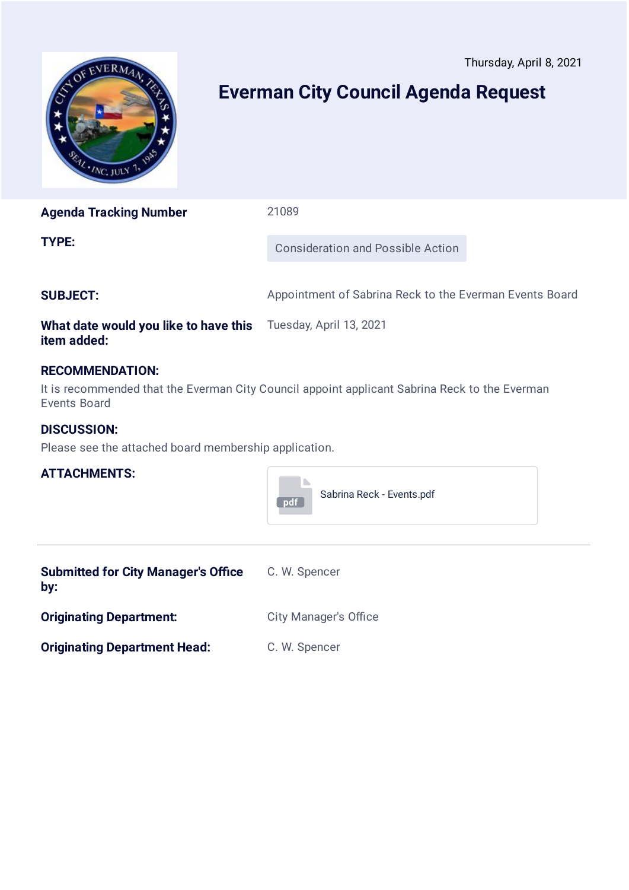<span id="page-14-0"></span>

# **Everman City Council Agenda Request**

**Agenda Tracking Number** 21089 **TYPE:** Consideration and Possible Action

**SUBJECT:** Appointment of Sabrina Reck to the Everman Events Board

#### **What date would you like to have this item added:** Tuesday, April 13, 2021

### **RECOMMENDATION:**

It is recommended that the Everman City Council appoint applicant Sabrina Reck to the Everman Events Board

### **DISCUSSION:**

Please see the attached board membership application.



| <b>Submitted for City Manager's Office</b><br>by: | C. W. Spencer                |
|---------------------------------------------------|------------------------------|
| <b>Originating Department:</b>                    | <b>City Manager's Office</b> |
| <b>Originating Department Head:</b>               | C. W. Spencer                |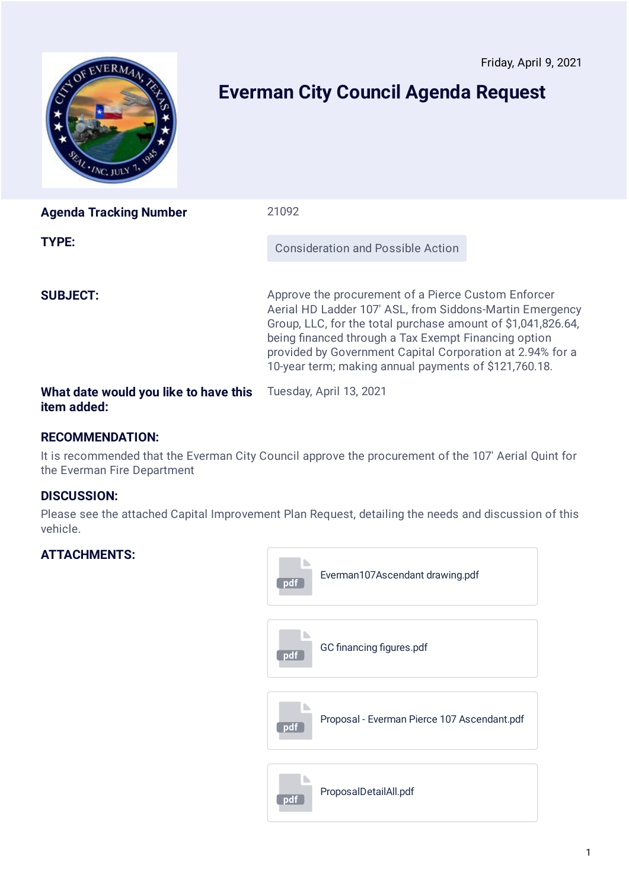<span id="page-15-0"></span>

# **Everman City Council Agenda Request**

| <b>Agenda Tracking Number</b>         | 21092                                                                                                                                                                                                                                                                                                                                                         |  |
|---------------------------------------|---------------------------------------------------------------------------------------------------------------------------------------------------------------------------------------------------------------------------------------------------------------------------------------------------------------------------------------------------------------|--|
| TYPE:                                 | <b>Consideration and Possible Action</b>                                                                                                                                                                                                                                                                                                                      |  |
| <b>SUBJECT:</b>                       | Approve the procurement of a Pierce Custom Enforcer<br>Aerial HD Ladder 107' ASL, from Siddons-Martin Emergency<br>Group, LLC, for the total purchase amount of \$1,041,826.64,<br>being financed through a Tax Exempt Financing option<br>provided by Government Capital Corporation at 2.94% for a<br>10-year term; making annual payments of \$121,760.18. |  |
| What date would you like to have this | Tuesday, April 13, 2021                                                                                                                                                                                                                                                                                                                                       |  |

### **RECOMMENDATION:**

It is recommended that the Everman City Council approve the procurement of the 107' Aerial Quint for the Everman Fire Department

### **DISCUSSION:**

**item added:**

Please see the attached Capital Improvement Plan Request, detailing the needs and discussion of this vehicle.

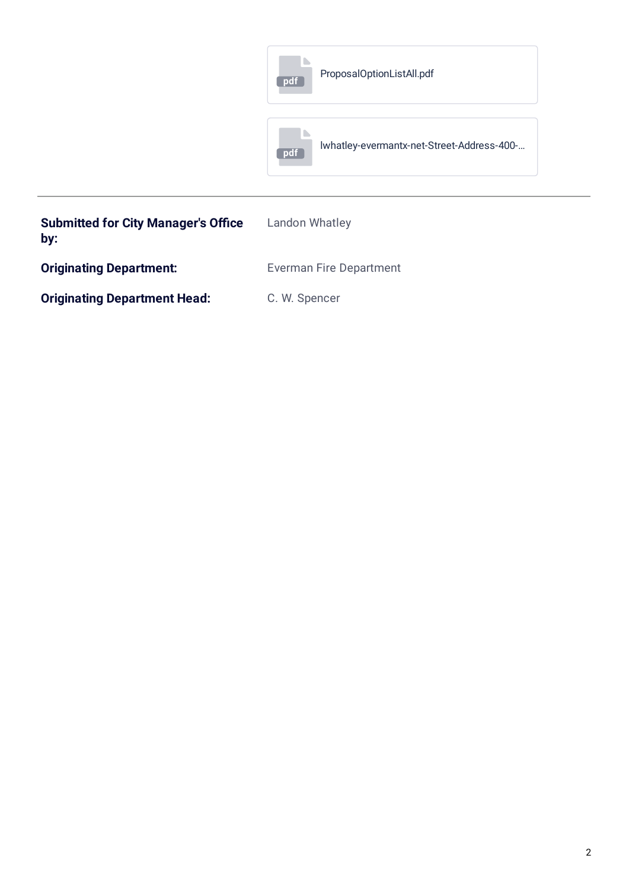|                                            | ProposalOptionListAll.pdf<br>pdf                  |  |
|--------------------------------------------|---------------------------------------------------|--|
|                                            | Iwhatley-evermantx-net-Street-Address-400-<br>pdf |  |
| <b>Submitted for City Manager's Office</b> | Landon Whatley                                    |  |

| <b>Originating Department:</b>      | <b>Everman Fire Department</b> |
|-------------------------------------|--------------------------------|
| <b>Originating Department Head:</b> | C. W. Spencer                  |

**by:**